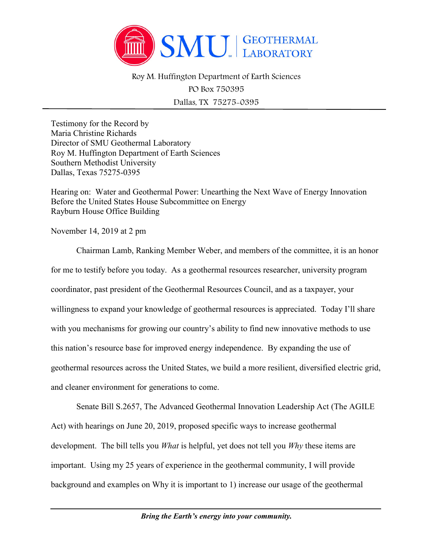

Roy M. Huffington Department of Earth Sciences

PO Box 750395 Dallas, TX 75275-0395

Testimony for the Record by Maria Christine Richards Director of SMU Geothermal Laboratory Roy M. Huffington Department of Earth Sciences Southern Methodist University Dallas, Texas 75275-0395

Hearing on: Water and Geothermal Power: Unearthing the Next Wave of Energy Innovation Before the United States House Subcommittee on Energy Rayburn House Office Building

November 14, 2019 at 2 pm

Chairman Lamb, Ranking Member Weber, and members of the committee, it is an honor for me to testify before you today. As a geothermal resources researcher, university program coordinator, past president of the Geothermal Resources Council, and as a taxpayer, your willingness to expand your knowledge of geothermal resources is appreciated. Today I'll share with you mechanisms for growing our country's ability to find new innovative methods to use this nation's resource base for improved energy independence. By expanding the use of geothermal resources across the United States, we build a more resilient, diversified electric grid, and cleaner environment for generations to come.

Senate Bill S.2657, The Advanced Geothermal Innovation Leadership Act (The AGILE Act) with hearings on June 20, 2019, proposed specific ways to increase geothermal development. The bill tells you *What* is helpful, yet does not tell you *Why* these items are important. Using my 25 years of experience in the geothermal community, I will provide background and examples on Why it is important to 1) increase our usage of the geothermal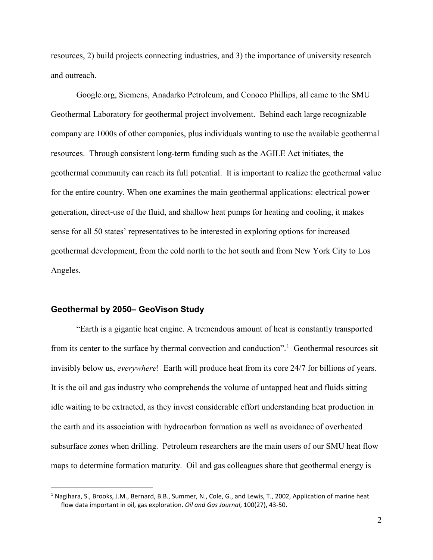resources, 2) build projects connecting industries, and 3) the importance of university research and outreach.

Google.org, Siemens, Anadarko Petroleum, and Conoco Phillips, all came to the SMU Geothermal Laboratory for geothermal project involvement. Behind each large recognizable company are 1000s of other companies, plus individuals wanting to use the available geothermal resources. Through consistent long-term funding such as the AGILE Act initiates, the geothermal community can reach its full potential. It is important to realize the geothermal value for the entire country. When one examines the main geothermal applications: electrical power generation, direct-use of the fluid, and shallow heat pumps for heating and cooling, it makes sense for all 50 states' representatives to be interested in exploring options for increased geothermal development, from the cold north to the hot south and from New York City to Los Angeles.

## **Geothermal by 2050– GeoVison Study**

 $\overline{a}$ 

"Earth is a gigantic heat engine. A tremendous amount of heat is constantly transported from its center to the surface by thermal convection and conduction".<sup>[1](#page-1-0)</sup> Geothermal resources sit invisibly below us, *everywhere*! Earth will produce heat from its core 24/7 for billions of years. It is the oil and gas industry who comprehends the volume of untapped heat and fluids sitting idle waiting to be extracted, as they invest considerable effort understanding heat production in the earth and its association with hydrocarbon formation as well as avoidance of overheated subsurface zones when drilling. Petroleum researchers are the main users of our SMU heat flow maps to determine formation maturity. Oil and gas colleagues share that geothermal energy is

<span id="page-1-0"></span><sup>1</sup> Nagihara, S., Brooks, J.M., Bernard, B.B., Summer, N., Cole, G., and Lewis, T., 2002, Application of marine heat flow data important in oil, gas exploration. *Oil and Gas Journal*, 100(27), 43-50.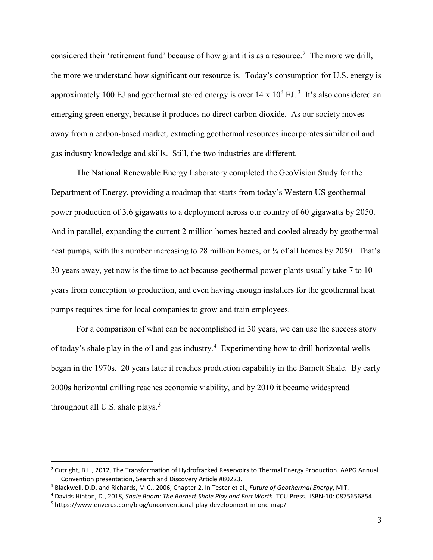considered their 'retirement fund' because of how giant it is as a resource.<sup>[2](#page-2-0)</sup> The more we drill, the more we understand how significant our resource is. Today's consumption for U.S. energy is approximately 100 EJ and geothermal stored energy is over  $14 \times 10^6$  EJ.<sup>[3](#page-2-1)</sup> It's also considered an emerging green energy, because it produces no direct carbon dioxide. As our society moves away from a carbon-based market, extracting geothermal resources incorporates similar oil and gas industry knowledge and skills. Still, the two industries are different.

The National Renewable Energy Laboratory completed the GeoVision Study for the Department of Energy, providing a roadmap that starts from today's Western US geothermal power production of 3.6 gigawatts to a deployment across our country of 60 gigawatts by 2050. And in parallel, expanding the current 2 million homes heated and cooled already by geothermal heat pumps, with this number increasing to 28 million homes, or  $\frac{1}{4}$  of all homes by 2050. That's 30 years away, yet now is the time to act because geothermal power plants usually take 7 to 10 years from conception to production, and even having enough installers for the geothermal heat pumps requires time for local companies to grow and train employees.

For a comparison of what can be accomplished in 30 years, we can use the success story of today's shale play in the oil and gas industry.<sup>[4](#page-2-2)</sup> Experimenting how to drill horizontal wells began in the 1970s. 20 years later it reaches production capability in the Barnett Shale. By early 2000s horizontal drilling reaches economic viability, and by 2010 it became widespread throughout all U.S. shale plays. [5](#page-2-3)

<span id="page-2-0"></span><sup>&</sup>lt;sup>2</sup> Cutright, B.L., 2012, The Transformation of Hydrofracked Reservoirs to Thermal Energy Production. AAPG Annual Convention presentation, Search and Discovery Article #80223.

<span id="page-2-1"></span><sup>3</sup> Blackwell, D.D. and Richards, M.C., 2006, Chapter 2. In Tester et al., *Future of Geothermal Energy*, MIT.

<span id="page-2-3"></span><span id="page-2-2"></span><sup>4</sup> Davids Hinton, D., 2018, *Shale Boom: The Barnett Shale Play and Fort Worth*. TCU Press. ISBN-10: 0875656854 <sup>5</sup> https://www.enverus.com/blog/unconventional-play-development-in-one-map/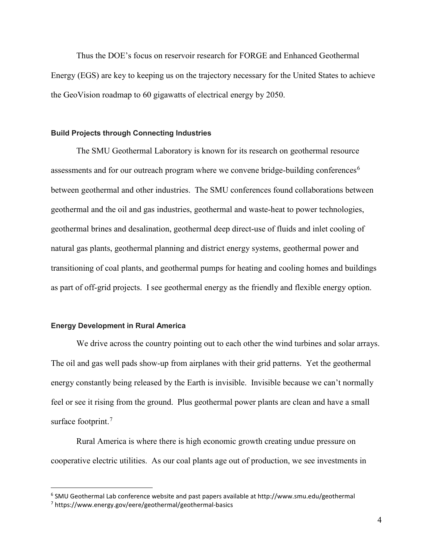Thus the DOE's focus on reservoir research for FORGE and Enhanced Geothermal Energy (EGS) are key to keeping us on the trajectory necessary for the United States to achieve the GeoVision roadmap to 60 gigawatts of electrical energy by 2050.

## **Build Projects through Connecting Industries**

The SMU Geothermal Laboratory is known for its research on geothermal resource assessments and for our outreach program where we convene bridge-building conferences<sup>[6](#page-3-0)</sup> between geothermal and other industries. The SMU conferences found collaborations between geothermal and the oil and gas industries, geothermal and waste-heat to power technologies, geothermal brines and desalination, geothermal deep direct-use of fluids and inlet cooling of natural gas plants, geothermal planning and district energy systems, geothermal power and transitioning of coal plants, and geothermal pumps for heating and cooling homes and buildings as part of off-grid projects. I see geothermal energy as the friendly and flexible energy option.

## **Energy Development in Rural America**

 $\overline{a}$ 

We drive across the country pointing out to each other the wind turbines and solar arrays. The oil and gas well pads show-up from airplanes with their grid patterns. Yet the geothermal energy constantly being released by the Earth is invisible. Invisible because we can't normally feel or see it rising from the ground. Plus geothermal power plants are clean and have a small surface footprint.<sup>[7](#page-3-1)</sup>

Rural America is where there is high economic growth creating undue pressure on cooperative electric utilities. As our coal plants age out of production, we see investments in

<span id="page-3-1"></span><span id="page-3-0"></span><sup>6</sup> SMU Geothermal Lab conference website and past papers available at http://www.smu.edu/geothermal <sup>7</sup> https://www.energy.gov/eere/geothermal/geothermal-basics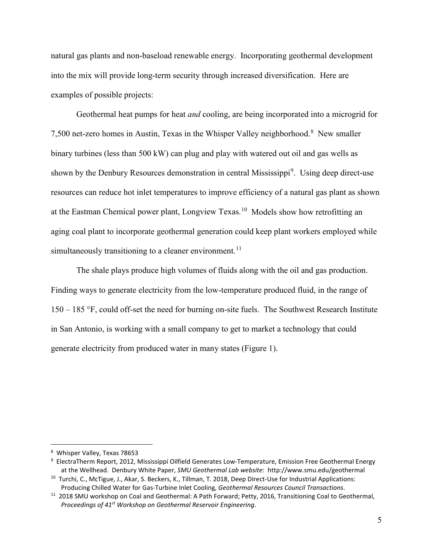natural gas plants and non-baseload renewable energy. Incorporating geothermal development into the mix will provide long-term security through increased diversification. Here are examples of possible projects:

Geothermal heat pumps for heat *and* cooling, are being incorporated into a microgrid for 7,500 net-zero homes in Austin, Texas in the Whisper Valley neighborhood. [8](#page-4-0) New smaller binary turbines (less than 500 kW) can plug and play with watered out oil and gas wells as shown by the Denbury Resources demonstration in central Mississippi<sup>[9](#page-4-1)</sup>. Using deep direct-use resources can reduce hot inlet temperatures to improve efficiency of a natural gas plant as shown at the Eastman Chemical power plant, Longview Texas.<sup>10</sup> Models show how retrofitting an aging coal plant to incorporate geothermal generation could keep plant workers employed while simultaneously transitioning to a cleaner environment.<sup>[11](#page-4-3)</sup>

The shale plays produce high volumes of fluids along with the oil and gas production. Finding ways to generate electricity from the low-temperature produced fluid, in the range of 150 – 185 °F, could off-set the need for burning on-site fuels. The Southwest Research Institute in San Antonio, is working with a small company to get to market a technology that could generate electricity from produced water in many states (Figure 1).

<span id="page-4-0"></span><sup>8</sup> Whisper Valley, Texas 78653

<span id="page-4-1"></span><sup>9</sup> ElectraTherm Report, 2012, Mississippi Oilfield Generates Low-Temperature, Emission Free Geothermal Energy at the Wellhead. Denbury White Paper, *SMU Geothermal Lab website*: http://www.smu.edu/geothermal

<span id="page-4-2"></span><sup>&</sup>lt;sup>10</sup> Turchi, C., McTigue, J., Akar, S. Beckers, K., Tillman, T. 2018, Deep Direct-Use for Industrial Applications: Producing Chilled Water for Gas-Turbine Inlet Cooling, *Geothermal Resources Council Transactions*.

<span id="page-4-3"></span><sup>&</sup>lt;sup>11</sup> 2018 SMU workshop on Coal and Geothermal: A Path Forward; Petty, 2016, Transitioning Coal to Geothermal, *Proceedings of 41st Workshop on Geothermal Reservoir Engineering*.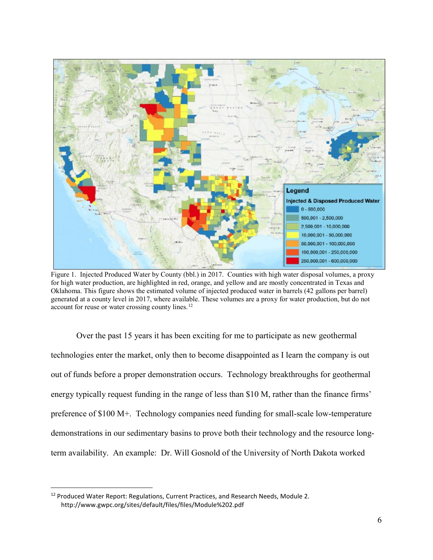

Figure 1. Injected Produced Water by County (bbl.) in 2017. Counties with high water disposal volumes, a proxy for high water production, are highlighted in red, orange, and yellow and are mostly concentrated in Texas and Oklahoma. This figure shows the estimated volume of injected produced water in barrels (42 gallons per barrel) generated at a county level in 2017, where available. These volumes are a proxy for water production, but do not account for reuse or water crossing county lines.[12](#page-5-0)

Over the past 15 years it has been exciting for me to participate as new geothermal technologies enter the market, only then to become disappointed as I learn the company is out out of funds before a proper demonstration occurs. Technology breakthroughs for geothermal energy typically request funding in the range of less than \$10 M, rather than the finance firms' preference of \$100 M+. Technology companies need funding for small-scale low-temperature demonstrations in our sedimentary basins to prove both their technology and the resource longterm availability. An example: Dr. Will Gosnold of the University of North Dakota worked

<span id="page-5-0"></span><sup>&</sup>lt;sup>12</sup> Produced Water Report: Regulations, Current Practices, and Research Needs, Module 2. http://www.gwpc.org/sites/default/files/files/Module%202.pdf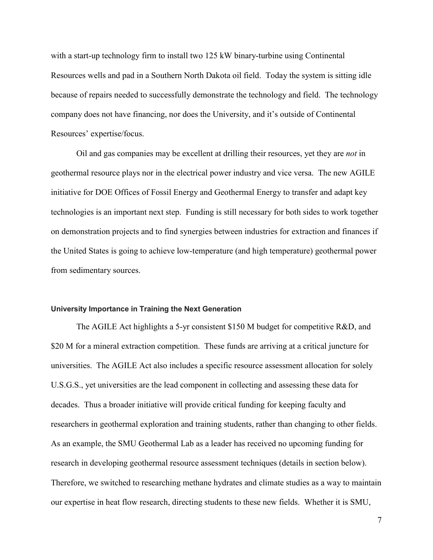with a start-up technology firm to install two 125 kW binary-turbine using Continental Resources wells and pad in a Southern North Dakota oil field. Today the system is sitting idle because of repairs needed to successfully demonstrate the technology and field. The technology company does not have financing, nor does the University, and it's outside of Continental Resources' expertise/focus.

Oil and gas companies may be excellent at drilling their resources, yet they are *not* in geothermal resource plays nor in the electrical power industry and vice versa. The new AGILE initiative for DOE Offices of Fossil Energy and Geothermal Energy to transfer and adapt key technologies is an important next step. Funding is still necessary for both sides to work together on demonstration projects and to find synergies between industries for extraction and finances if the United States is going to achieve low-temperature (and high temperature) geothermal power from sedimentary sources.

## **University Importance in Training the Next Generation**

The AGILE Act highlights a 5-yr consistent \$150 M budget for competitive R&D, and \$20 M for a mineral extraction competition. These funds are arriving at a critical juncture for universities. The AGILE Act also includes a specific resource assessment allocation for solely U.S.G.S., yet universities are the lead component in collecting and assessing these data for decades. Thus a broader initiative will provide critical funding for keeping faculty and researchers in geothermal exploration and training students, rather than changing to other fields. As an example, the SMU Geothermal Lab as a leader has received no upcoming funding for research in developing geothermal resource assessment techniques (details in section below). Therefore, we switched to researching methane hydrates and climate studies as a way to maintain our expertise in heat flow research, directing students to these new fields. Whether it is SMU,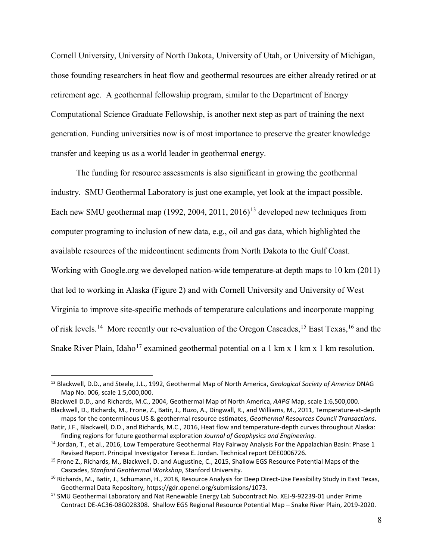Cornell University, University of North Dakota, University of Utah, or University of Michigan, those founding researchers in heat flow and geothermal resources are either already retired or at retirement age. A geothermal fellowship program, similar to the Department of Energy Computational Science Graduate Fellowship, is another next step as part of training the next generation. Funding universities now is of most importance to preserve the greater knowledge transfer and keeping us as a world leader in geothermal energy.

The funding for resource assessments is also significant in growing the geothermal industry. SMU Geothermal Laboratory is just one example, yet look at the impact possible. Each new SMU geothermal map  $(1992, 2004, 2011, 2016)^{13}$  $(1992, 2004, 2011, 2016)^{13}$  $(1992, 2004, 2011, 2016)^{13}$  developed new techniques from computer programing to inclusion of new data, e.g., oil and gas data, which highlighted the available resources of the midcontinent sediments from North Dakota to the Gulf Coast. Working with Google.org we developed nation-wide temperature-at depth maps to 10 km (2011) that led to working in Alaska (Figure 2) and with Cornell University and University of West Virginia to improve site-specific methods of temperature calculations and incorporate mapping of risk levels.<sup>14</sup> More recently our re-evaluation of the Oregon Cascades, <sup>[15](#page-7-2)</sup> East Texas, <sup>[16](#page-7-3)</sup> and the Snake River Plain, Idaho<sup>[17](#page-7-4)</sup> examined geothermal potential on a 1 km x 1 km x 1 km resolution.

<span id="page-7-0"></span><sup>13</sup> Blackwell, D.D., and Steele, J.L., 1992, Geothermal Map of North America, *Geological Society of America* DNAG Map No. 006, scale 1:5,000,000.

Blackwell D.D., and Richards, M.C., 2004, Geothermal Map of North America, *AAPG* Map, scale 1:6,500,000.

Blackwell, D., Richards, M., Frone, Z., Batir, J., Ruzo, A., Dingwall, R., and Williams, M., 2011, Temperature-at-depth maps for the conterminous US & geothermal resource estimates, *Geothermal Resources Council Transactions*.

Batir, J.F., Blackwell, D.D., and Richards, M.C., 2016, Heat flow and temperature-depth curves throughout Alaska: finding regions for future geothermal exploration *Journal of Geophysics and Engineering*. 14 Jordan, T., et al., 2016, Low Temperature Geothermal Play Fairway Analysis For the Appalachian Basin: Phase 1

<span id="page-7-1"></span>Revised Report. Principal Investigator Teresa E. Jordan. Technical report DEE0006726.

<span id="page-7-2"></span><sup>15</sup> Frone Z., Richards, M., Blackwell, D. and Augustine, C., 2015, Shallow EGS Resource Potential Maps of the Cascades, *Stanford Geothermal Workshop*, Stanford University. 16 Richards, M., Batir, J., Schumann, H., 2018, Resource Analysis for Deep Direct-Use Feasibility Study in East Texas,

<span id="page-7-3"></span>Geothermal Data Repository, https://gdr.openei.org/submissions/1073.

<span id="page-7-4"></span><sup>&</sup>lt;sup>17</sup> SMU Geothermal Laboratory and Nat Renewable Energy Lab Subcontract No. XEJ-9-92239-01 under Prime Contract DE-AC36-08G028308. Shallow EGS Regional Resource Potential Map – Snake River Plain, 2019-2020.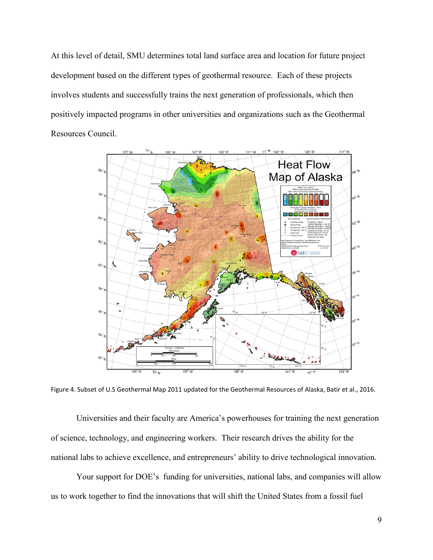At this level of detail, SMU determines total land surface area and location for future project development based on the different types of geothermal resource. Each of these projects involves students and successfully trains the next generation of professionals, which then positively impacted programs in other universities and organizations such as the Geothermal Resources Council.



Figure 4. Subset of U.S Geothermal Map 2011 updated for the Geothermal Resources of Alaska, Batir et al., 2016.

Universities and their faculty are America's powerhouses for training the next generation of science, technology, and engineering workers. Their research drives the ability for the national labs to achieve excellence, and entrepreneurs' ability to drive technological innovation.

Your support for DOE's funding for universities, national labs, and companies will allow us to work together to find the innovations that will shift the United States from a fossil fuel